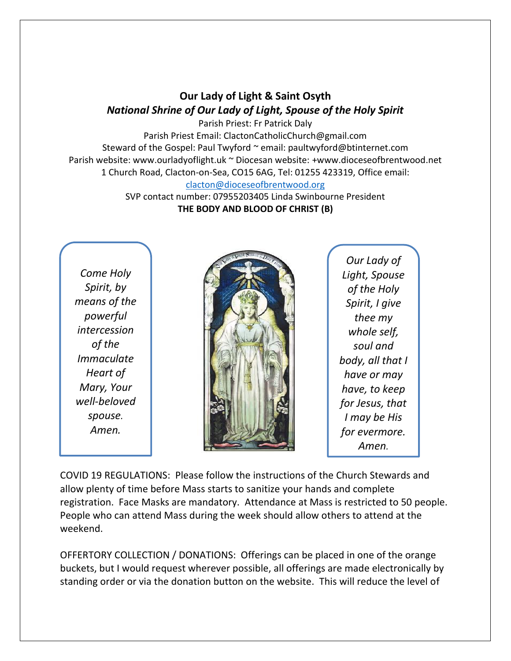## **Our Lady of Light & Saint Osyth** *National Shrine of Our Lady of Light, Spouse of the Holy Spirit*

Parish Priest: Fr Patrick Daly Parish Priest Email: ClactonCatholicChurch@gmail.com Steward of the Gospel: Paul Twyford ~ email: paultwyford@btinternet.com Parish website: www.ourladyoflight.uk ~ Diocesan website: +www.dioceseofbrentwood.net 1 Church Road, Clacton-on-Sea, CO15 6AG, Tel: 01255 423319, Office email: [clacton@dioceseofbrentwood.org](mailto:clacton@dioceseofbrentwood.org)

> SVP contact number: 07955203405 Linda Swinbourne President **THE BODY AND BLOOD OF CHRIST (B)**

*Come Holy Spirit, by means of the powerful intercession of the Immaculate Heart of Mary, Your well-beloved spouse. Amen.*



*Our Lady of Light, Spouse of the Holy Spirit, I give thee my whole self, soul and body, all that I have or may have, to keep for Jesus, that I may be His for evermore. Amen.*

COVID 19 REGULATIONS: Please follow the instructions of the Church Stewards and allow plenty of time before Mass starts to sanitize your hands and complete registration. Face Masks are mandatory. Attendance at Mass is restricted to 50 people. People who can attend Mass during the week should allow others to attend at the weekend.

OFFERTORY COLLECTION / DONATIONS: Offerings can be placed in one of the orange buckets, but I would request wherever possible, all offerings are made electronically by standing order or via the donation button on the website. This will reduce the level of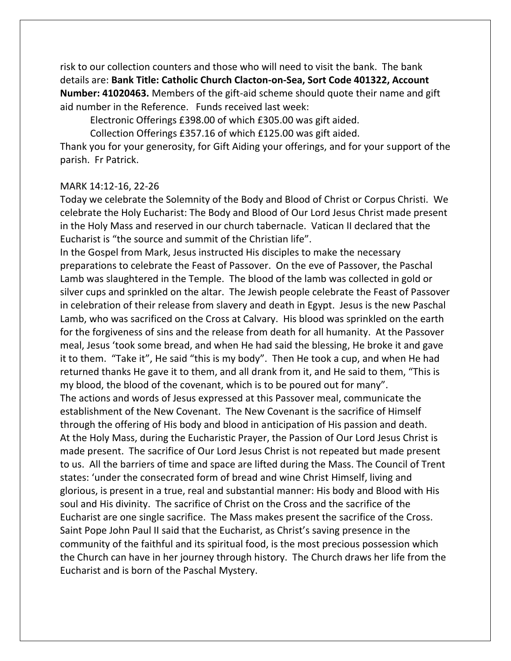risk to our collection counters and those who will need to visit the bank. The bank details are: **Bank Title: Catholic Church Clacton-on-Sea, Sort Code 401322, Account Number: 41020463.** Members of the gift-aid scheme should quote their name and gift aid number in the Reference. Funds received last week:

Electronic Offerings £398.00 of which £305.00 was gift aided.

Collection Offerings £357.16 of which £125.00 was gift aided.

Thank you for your generosity, for Gift Aiding your offerings, and for your support of the parish. Fr Patrick.

## MARK 14:12-16, 22-26

Today we celebrate the Solemnity of the Body and Blood of Christ or Corpus Christi. We celebrate the Holy Eucharist: The Body and Blood of Our Lord Jesus Christ made present in the Holy Mass and reserved in our church tabernacle. Vatican II declared that the Eucharist is "the source and summit of the Christian life".

In the Gospel from Mark, Jesus instructed His disciples to make the necessary preparations to celebrate the Feast of Passover. On the eve of Passover, the Paschal Lamb was slaughtered in the Temple. The blood of the lamb was collected in gold or silver cups and sprinkled on the altar. The Jewish people celebrate the Feast of Passover in celebration of their release from slavery and death in Egypt. Jesus is the new Paschal Lamb, who was sacrificed on the Cross at Calvary. His blood was sprinkled on the earth for the forgiveness of sins and the release from death for all humanity. At the Passover meal, Jesus 'took some bread, and when He had said the blessing, He broke it and gave it to them. "Take it", He said "this is my body". Then He took a cup, and when He had returned thanks He gave it to them, and all drank from it, and He said to them, "This is my blood, the blood of the covenant, which is to be poured out for many".

The actions and words of Jesus expressed at this Passover meal, communicate the establishment of the New Covenant. The New Covenant is the sacrifice of Himself through the offering of His body and blood in anticipation of His passion and death. At the Holy Mass, during the Eucharistic Prayer, the Passion of Our Lord Jesus Christ is made present. The sacrifice of Our Lord Jesus Christ is not repeated but made present to us. All the barriers of time and space are lifted during the Mass. The Council of Trent states: 'under the consecrated form of bread and wine Christ Himself, living and glorious, is present in a true, real and substantial manner: His body and Blood with His soul and His divinity. The sacrifice of Christ on the Cross and the sacrifice of the Eucharist are one single sacrifice. The Mass makes present the sacrifice of the Cross. Saint Pope John Paul II said that the Eucharist, as Christ's saving presence in the community of the faithful and its spiritual food, is the most precious possession which the Church can have in her journey through history. The Church draws her life from the Eucharist and is born of the Paschal Mystery.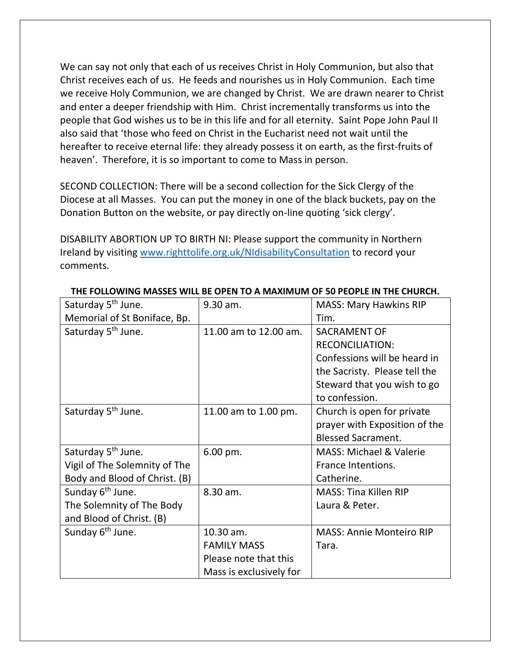We can say not only that each of us receives Christ in Holy Communion, but also that Christ receives each of us. He feeds and nourishes us in Holy Communion. Each time we receive Holy Communion, we are changed by Christ. We are drawn nearer to Christ and enter a deeper friendship with Him. Christ incrementally transforms us into the people that God wishes us to be in this life and for all eternity. Saint Pope John Paul II also said that 'those who feed on Christ in the Eucharist need not wait until the hereafter to receive eternal life: they already possess it on earth, as the first-fruits of heaven'. Therefore, it is so important to come to Mass in person.

SECOND COLLECTION: There will be a second collection for the Sick Clergy of the Diocese at all Masses. You can put the money in one of the black buckets, pay on the Donation Button on the website, or pay directly on-line quoting 'sick clergy'.

DISABILITY ABORTION UP TO BIRTH NI: Please support the community in Northern Ireland by visiting [www.righttolife.org.uk/NIdisabilityConsultation](http://www.righttolife.org.uk/NIdisabilityConsultation) to record your comments.

| Saturday 5 <sup>th</sup> June. | 9.30 am.                | <b>MASS: Mary Hawkins RIP</b>   |
|--------------------------------|-------------------------|---------------------------------|
| Memorial of St Boniface, Bp.   |                         | Tim.                            |
| Saturday 5 <sup>th</sup> June. | 11.00 am to 12.00 am.   | <b>SACRAMENT OF</b>             |
|                                |                         | <b>RECONCILIATION:</b>          |
|                                |                         | Confessions will be heard in    |
|                                |                         | the Sacristy. Please tell the   |
|                                |                         | Steward that you wish to go     |
|                                |                         | to confession.                  |
| Saturday 5 <sup>th</sup> June. | 11.00 am to 1.00 pm.    | Church is open for private      |
|                                |                         | prayer with Exposition of the   |
|                                |                         | <b>Blessed Sacrament.</b>       |
| Saturday 5 <sup>th</sup> June. | 6.00 pm.                | MASS: Michael & Valerie         |
| Vigil of The Solemnity of The  |                         | France Intentions.              |
| Body and Blood of Christ. (B)  |                         | Catherine.                      |
| Sunday 6 <sup>th</sup> June.   | 8.30 am.                | <b>MASS: Tina Killen RIP</b>    |
| The Solemnity of The Body      |                         | Laura & Peter.                  |
| and Blood of Christ. (B)       |                         |                                 |
| Sunday 6 <sup>th</sup> June.   | 10.30 am.               | <b>MASS: Annie Monteiro RIP</b> |
|                                | <b>FAMILY MASS</b>      | Tara.                           |
|                                | Please note that this   |                                 |
|                                | Mass is exclusively for |                                 |

## **THE FOLLOWING MASSES WILL BE OPEN TO A MAXIMUM OF 50 PEOPLE IN THE CHURCH.**